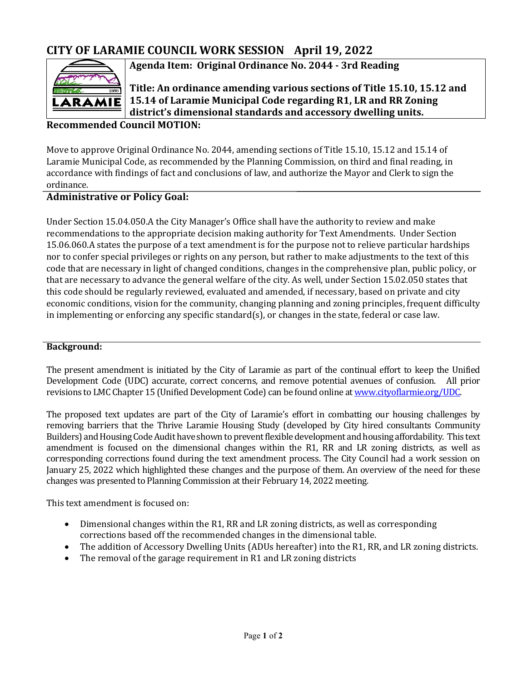## **CITY OF LARAMIE COUNCIL WORK SESSION April 19, 2022**



**Agenda Item: Original Ordinance No. 2044 - 3rd Reading** 

**Title: An ordinance amending various sections of Title 15.10, 15.12 and 15.14 of Laramie Municipal Code regarding R1, LR and RR Zoning district's dimensional standards and accessory dwelling units.**

#### **Recommended Council MOTION:**

Move to approve Original Ordinance No. 2044, amending sections of Title 15.10, 15.12 and 15.14 of Laramie Municipal Code, as recommended by the Planning Commission, on third and final reading, in accordance with findings of fact and conclusions of law, and authorize the Mayor and Clerk to sign the ordinance.

#### **Administrative or Policy Goal:**

Under Section 15.04.050.A the City Manager's Office shall have the authority to review and make recommendations to the appropriate decision making authority for Text Amendments. Under Section 15.06.060.A states the purpose of a text amendment is for the purpose not to relieve particular hardships nor to confer special privileges or rights on any person, but rather to make adjustments to the text of this code that are necessary in light of changed conditions, changes in the comprehensive plan, public policy, or that are necessary to advance the general welfare of the city. As well, under Section 15.02.050 states that this code should be regularly reviewed, evaluated and amended, if necessary, based on private and city economic conditions, vision for the community, changing planning and zoning principles, frequent difficulty in implementing or enforcing any specific standard(s), or changes in the state, federal or case law.

#### **Background:**

The present amendment is initiated by the City of Laramie as part of the continual effort to keep the Unified Development Code (UDC) accurate, correct concerns, and remove potential avenues of confusion. All prior revisions to LMC Chapter 15 (Unified Development Code) can be found online a[t www.cityoflarmie.org/UDC.](http://www.cityoflarmie.org/UDC) 

The proposed text updates are part of the City of Laramie's effort in combatting our housing challenges by removing barriers that the Thrive Laramie Housing Study (developed by City hired consultants Community Builders) and Housing Code Audit have shown to prevent flexible development and housing affordability. This text amendment is focused on the dimensional changes within the R1, RR and LR zoning districts, as well as corresponding corrections found during the text amendment process. The City Council had a work session on January 25, 2022 which highlighted these changes and the purpose of them. An overview of the need for these changes was presented to Planning Commission at their February 14, 2022 meeting.

This text amendment is focused on:

- Dimensional changes within the R1, RR and LR zoning districts, as well as corresponding corrections based off the recommended changes in the dimensional table.
- The addition of Accessory Dwelling Units (ADUs hereafter) into the R1, RR, and LR zoning districts.
- The removal of the garage requirement in R1 and LR zoning districts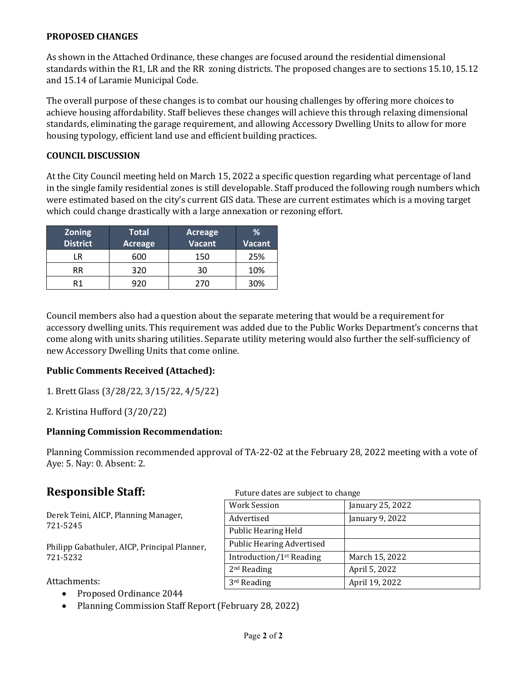#### **PROPOSED CHANGES**

As shown in the Attached Ordinance, these changes are focused around the residential dimensional standards within the R1, LR and the RR zoning districts. The proposed changes are to sections 15.10, 15.12 and 15.14 of Laramie Municipal Code.

The overall purpose of these changes is to combat our housing challenges by offering more choices to achieve housing affordability. Staff believes these changes will achieve this through relaxing dimensional standards, eliminating the garage requirement, and allowing Accessory Dwelling Units to allow for more housing typology, efficient land use and efficient building practices.

#### **COUNCIL DISCUSSION**

At the City Council meeting held on March 15, 2022 a specific question regarding what percentage of land in the single family residential zones is still developable. Staff produced the following rough numbers which were estimated based on the city's current GIS data. These are current estimates which is a moving target which could change drastically with a large annexation or rezoning effort.

| <b>Zoning</b><br><b>District</b> | <b>Total</b><br><b>Acreage</b> | Acreage<br><b>Vacant</b> | %<br><b>Vacant</b> |
|----------------------------------|--------------------------------|--------------------------|--------------------|
| LR                               | 600                            | 150                      | 25%                |
| RR                               | 320                            | 30                       | 10%                |
| R1                               | 920                            | 270                      | 30%                |

Council members also had a question about the separate metering that would be a requirement for accessory dwelling units. This requirement was added due to the Public Works Department's concerns that come along with units sharing utilities. Separate utility metering would also further the self-sufficiency of new Accessory Dwelling Units that come online.

#### **Public Comments Received (Attached):**

- 1. Brett Glass (3/28/22, 3/15/22, 4/5/22)
- 2. Kristina Hufford (3/20/22)

#### **Planning Commission Recommendation:**

Planning Commission recommended approval of TA-22-02 at the February 28, 2022 meeting with a vote of Aye: 5. Nay: 0. Absent: 2.

Derek Teini, AICP, Planning Manager, 721-5245

Philipp Gabathuler, AICP, Principal Planner, 721-5232

Attachments:

- Proposed Ordinance 2044
- Planning Commission Staff Report (February 28, 2022)

**Responsible Staff:** Future dates are subject to change

| <b>Work Session</b>                  | January 25, 2022 |
|--------------------------------------|------------------|
| Advertised                           | January 9, 2022  |
| <b>Public Hearing Held</b>           |                  |
| <b>Public Hearing Advertised</b>     |                  |
| Introduction/1 <sup>st</sup> Reading | March 15, 2022   |
| $2nd$ Reading                        | April 5, 2022    |
| $3rd$ Reading                        | April 19, 2022   |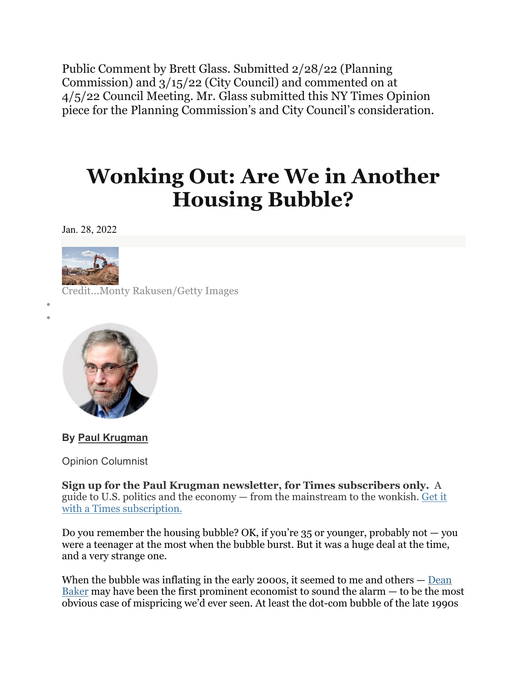Public Comment by Brett Glass. Submitted 2/28/22 (Planning Commission) and 3/15/22 (City Council) and commented on at 4/5/22 Council Meeting. Mr. Glass submitted this NY Times Opinion piece for the Planning Commission's and City Council's consideration.

# **Wonking Out: Are We in Another Housing Bubble?**

Jan. 28, 2022



• • Credit...Monty Rakusen/Getty Images



**By Paul [Krugman](https://www.nytimes.com/by/paul-krugman)**

Opinion Columnist

**Sign up for the Paul Krugman newsletter, for Times subscribers only.** A guide to U.S. politics and the economy — from the mainstream to the wonkish. Get it with a Times subscription.

Do you remember the housing bubble? OK, if you're  $35$  or younger, probably not  $-$  you were a teenager at the most when the bubble burst. But it was a huge deal at the time, and a very strange one.

When the bubble was inflating in the early 2000s, it seemed to me and others — [Dean](https://www.jstor.org/stable/40722175?seq=1#metadata_info_tab_contents) [Baker](https://www.jstor.org/stable/40722175?seq=1#metadata_info_tab_contents) may have been the first prominent economist to sound the alarm — to be the most obvious case of mispricing we'd ever seen. At least the dot-com bubble of the late 1990s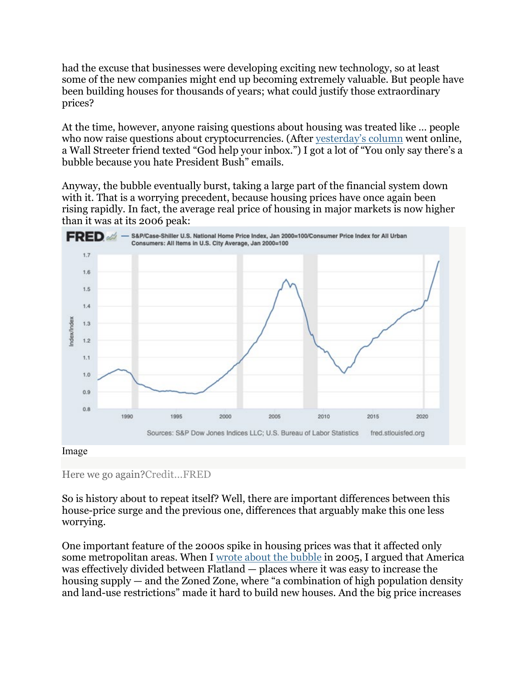had the excuse that businesses were developing exciting new technology, so at least some of the new companies might end up becoming extremely valuable. But people have been building houses for thousands of years; what could justify those extraordinary prices?

At the time, however, anyone raising questions about housing was treated like … people who now raise questions about cryptocurrencies. (After [yesterday's](https://www.nytimes.com/2022/01/27/opinion/cryptocurrency-subprime-vulnerable.html) column went online, a Wall Streeter friend texted "God help your inbox.") I got a lot of "You only say there's a bubble because you hate President Bush" emails.

Anyway, the bubble eventually burst, taking a large part of the financial system down with it. That is a worrying precedent, because housing prices have once again been rising rapidly. In fact, the average real price of housing in major markets is now higher than it was at its 2006 peak:



#### Image

### Here we go again?Credit...FRED

So is history about to repeat itself? Well, there are important differences between this house-price surge and the previous one, differences that arguably make this one less worrying.

One important feature of the 2000s spike in housing prices was that it affected only some metropolitan areas. When I [wrote about](https://www.nytimes.com/2005/08/08/opinion/that-hissing-sound.html) the bubble in 2005, I argued that America was effectively divided between Flatland — places where it was easy to increase the housing supply — and the Zoned Zone, where "a combination of high population density and land-use restrictions" made it hard to build new houses. And the big price increases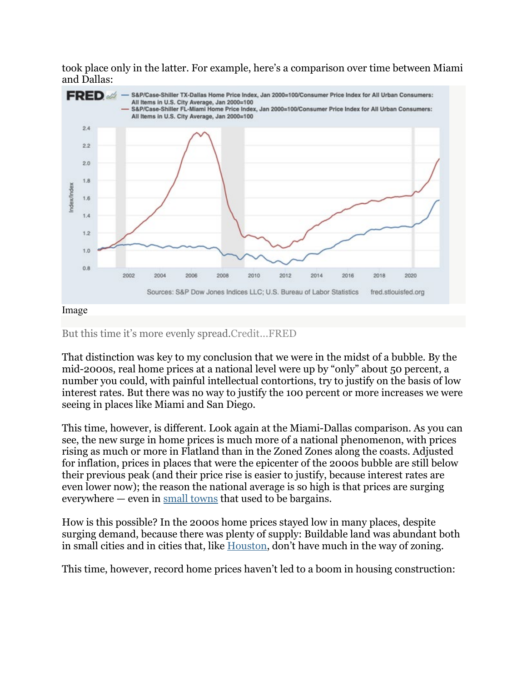took place only in the latter. For example, here's a comparison over time between Miami and Dallas:



But this time it's more evenly spread.Credit...FRED

That distinction was key to my conclusion that we were in the midst of a bubble. By the mid-2000s, real home prices at a national level were up by "only" about 50 percent, a number you could, with painful intellectual contortions, try to justify on the basis of low interest rates. But there was no way to justify the 100 percent or more increases we were seeing in places like Miami and San Diego.

This time, however, is different. Look again at the Miami-Dallas comparison. As you can see, the new surge in home prices is much more of a national phenomenon, with prices rising as much or more in Flatland than in the Zoned Zones along the coasts. Adjusted for inflation, prices in places that were the epicenter of the 2000s bubble are still below their previous peak (and their price rise is easier to justify, because interest rates are even lower now); the reason the national average is so high is that prices are surging everywhere — even in small [towns](https://thewalrus.ca/small-town-homes-big-city-prices-welcome-to-the-everywhere-boom/) that used to be bargains.

How is this possible? In the 2000s home prices stayed low in many places, despite surging demand, because there was plenty of supply: Buildable land was abundant both in small cities and in cities that, like [Houston,](https://planning.org/planning/2020/jan/the-z-word/) don't have much in the way of zoning.

This time, however, record home prices haven't led to a boom in housing construction: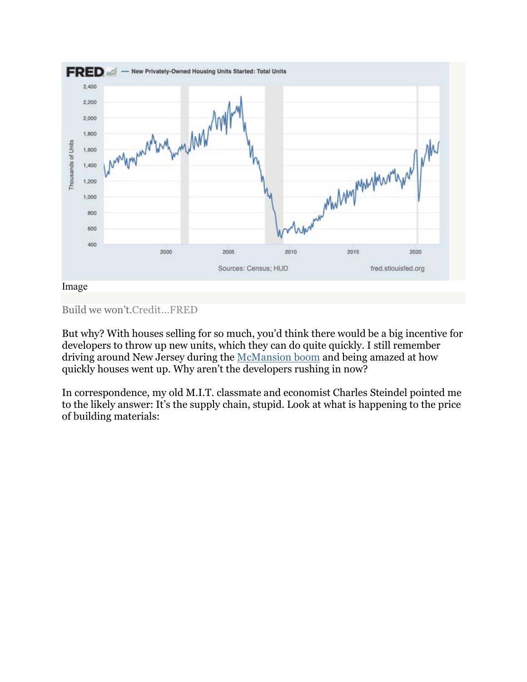

```
Build we won't.Credit...FRED
```
But why? With houses selling for so much, you'd think there would be a big incentive for developers to throw up new units, which they can do quite quickly. I still remember driving around New Jersey during the [McMansion](https://www.nytimes.com/2005/10/16/magazine/chasing-ground.html) boom and being amazed at how quickly houses went up. Why aren't the developers rushing in now?

In correspondence, my old M.I.T. classmate and economist Charles Steindel pointed me to the likely answer: It's the supply chain, stupid. Look at what is happening to the price of building materials: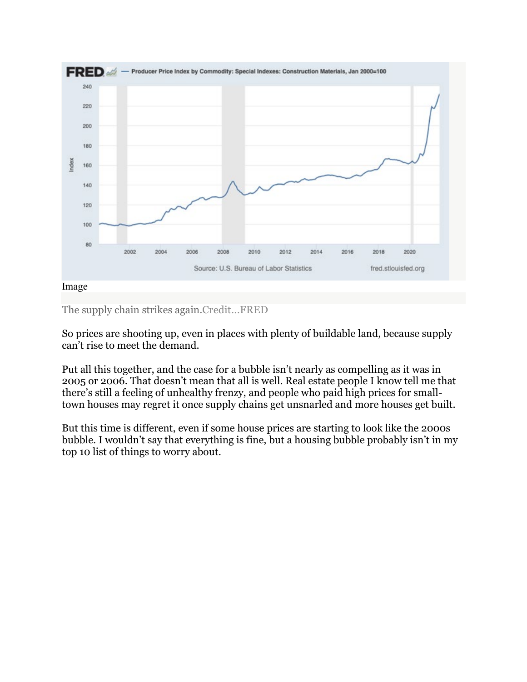

The supply chain strikes again.Credit...FRED

So prices are shooting up, even in places with plenty of buildable land, because supply can't rise to meet the demand.

Put all this together, and the case for a bubble isn't nearly as compelling as it was in 2005 or 2006. That doesn't mean that all is well. Real estate people I know tell me that there's still a feeling of unhealthy frenzy, and people who paid high prices for smalltown houses may regret it once supply chains get unsnarled and more houses get built.

But this time is different, even if some house prices are starting to look like the 2000s bubble. I wouldn't say that everything is fine, but a housing bubble probably isn't in my top 10 list of things to worry about.